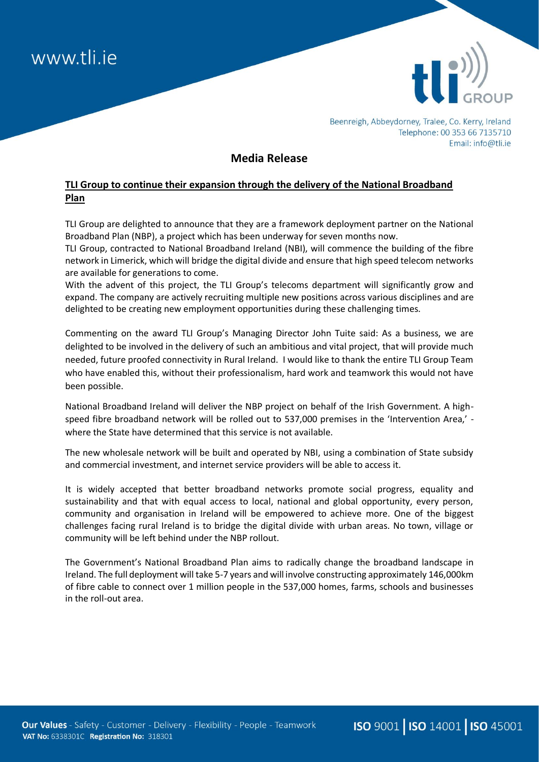



Beenreigh, Abbeydorney, Tralee, Co. Kerry, Ireland Telephone: 00 353 66 7135710 Email: info@tli.ie

## **Media Release**

## **TLI Group to continue their expansion through the delivery of the National Broadband Plan**

TLI Group are delighted to announce that they are a framework deployment partner on the National Broadband Plan (NBP), a project which has been underway for seven months now.

TLI Group, contracted to National Broadband Ireland (NBI), will commence the building of the fibre network in Limerick, which will bridge the digital divide and ensure that high speed telecom networks are available for generations to come.

With the advent of this project, the TLI Group's telecoms department will significantly grow and expand. The company are actively recruiting multiple new positions across various disciplines and are delighted to be creating new employment opportunities during these challenging times.

Commenting on the award TLI Group's Managing Director John Tuite said: As a business, we are delighted to be involved in the delivery of such an ambitious and vital project, that will provide much needed, future proofed connectivity in Rural Ireland. I would like to thank the entire TLI Group Team who have enabled this, without their professionalism, hard work and teamwork this would not have been possible.

National Broadband Ireland will deliver the NBP project on behalf of the Irish Government. A highspeed fibre broadband network will be rolled out to 537,000 premises in the 'Intervention Area,' where the State have determined that this service is not available.

The new wholesale network will be built and operated by NBI, using a combination of State subsidy and commercial investment, and internet service providers will be able to access it.

It is widely accepted that better broadband networks promote social progress, equality and sustainability and that with equal access to local, national and global opportunity, every person, community and organisation in Ireland will be empowered to achieve more. One of the biggest challenges facing rural Ireland is to bridge the digital divide with urban areas. No town, village or community will be left behind under the NBP rollout.

The Government's National Broadband Plan aims to radically change the broadband landscape in Ireland. The full deployment will take 5-7 years and will involve constructing approximately 146,000km of fibre cable to connect over 1 million people in the 537,000 homes, farms, schools and businesses in the roll-out area.

ISO 9001 | ISO 14001 | ISO 45001